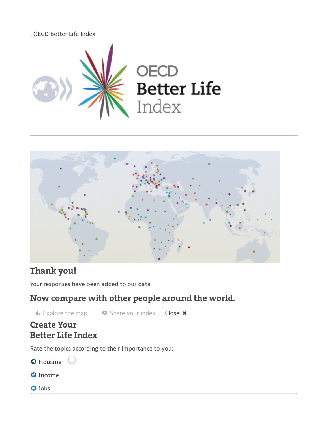



# **Thank you!**

Your responses have been added to our data

# **Now compare with other people around the world.**

**II.** [Explore](http://www.oecdbetterlifeindex.org/responses/) the map  $\bullet$  Share your index **Close**  $\times$ 

## **Create Your Better Life Index**

Rate the topics according to their importance to you:

**O** [Housing](http://www.oecdbetterlifeindex.org/topics/housing/)

- <sup>O</sup>[Income](http://www.oecdbetterlifeindex.org/topics/income/)
- **O** [Jobs](http://www.oecdbetterlifeindex.org/topics/jobs/)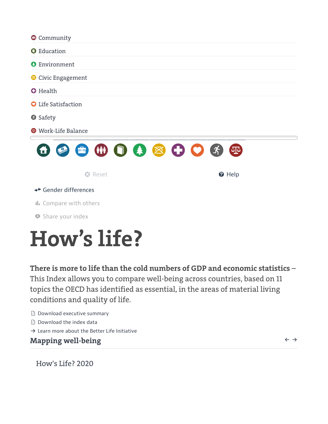

# **How's life?**

**There is more to life than the cold numbers of GDP and economic statistics** – This Index allows you to compare well-being across countries, based on 11 topics the OECD has identified as essential, in the areas of material living conditions and quality of life.

- [Download](http://www.oecdbetterlifeindex.org/media/bli/documents/ea714361-en.pdf) executive summary
- [Download](http://stats.oecd.org/Index.aspx?DataSetCode=BLI) the index data
- $\rightarrow$  Learn more about the Better Life [Initiative](http://www.oecd.org/statistics/better-life-initiative.htm)

## **Mapping well-being**

 $\leftarrow$   $\rightarrow$ 

How's Life? 2020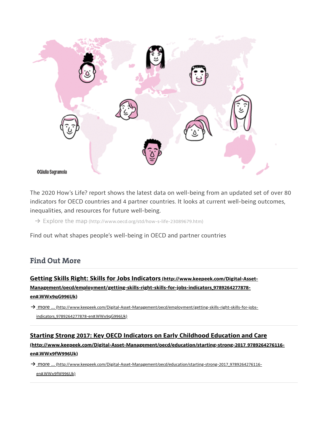

The 2020 How's Life? report shows the latest data on well-being from an updated set of over 80 indicators for OECD countries and 4 partner countries. It looks at current well-being outcomes, inequalities, and resources for future well-being.

→ Explore the map [\(http://www.oecd.org/std/how-s-life-23089679.htm\)](http://www.oecd.org/std/how-s-life-23089679.htm)

Find out what shapes people's well-being in OECD and partner countries

### **[Find Out More](http://www.oecdbetterlifeindex.org/find_out_more/)**

Getting Skills Right: Skills for Jobs Indicators (http://www.keepeek.com/Digital-Asset-[Management/oecd/employment/getting-skills-right-skills-for-jobs-indicators\\_9789264277878](http://www.keepeek.com/Digital-Asset-Management/oecd/employment/getting-skills-right-skills-for-jobs-indicators_9789264277878-en#.WWx9qG996Uk) en#.WWx9qG996Uk)

→ <u>more ... (http://www.keepeek.com/Digital-Asset-Management/oecd/employment/getting-skills-right-skills-for-jobs-</u> indicators\_9789264277878-en#.WWx9qG996Uk)

## [Starting Strong 2017: Key OECD Indicators on Early Childhood Education and Care](http://www.keepeek.com/Digital-Asset-Management/oecd/education/starting-strong-2017_9789264276116-en#.WWx9fW996Uk) (http://www.keepeek.com/Digital-Asset-Management/oecd/education/starting-strong-2017\_9789264276116 en#.WWx9fW996Uk)

→ more ... [\(http://www.keepeek.com/Digital-Asset-Management/oecd/education/starting-strong-2017\\_9789264276116](http://www.keepeek.com/Digital-Asset-Management/oecd/education/starting-strong-2017_9789264276116-en#.WWx9fW996Uk) en#.WWx9fW996Uk)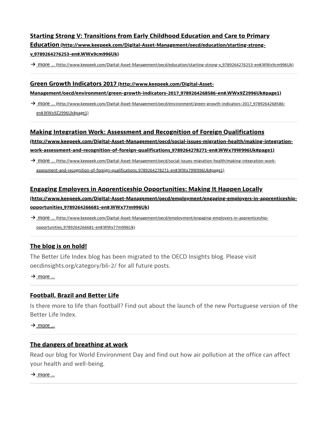## Starting Strong V: Transitions from Early Childhood Education and Care to Primary Education [\(http://www.keepeek.com/Digital-Asset-Management/oecd/education/starting-strong](http://www.keepeek.com/Digital-Asset-Management/oecd/education/starting-strong-v_9789264276253-en#.WWx9cm996Uk)v\_9789264276253-en#.WWx9cm996Uk)

→ more ... [\(http://www.keepeek.com/Digital-Asset-Management/oecd/education/starting-strong-v\\_9789264276253-en#.WWx9cm996Uk\)](http://www.keepeek.com/Digital-Asset-Management/oecd/education/starting-strong-v_9789264276253-en#.WWx9cm996Uk)

#### Green Growth Indicators 2017 (http://www.keepeek.com/Digital-Asset-

#### [Management/oecd/environment/green-growth-indicators-2017\\_9789264268586-en#.WWx9Z2996Uk#page1\)](http://www.keepeek.com/Digital-Asset-Management/oecd/environment/green-growth-indicators-2017_9789264268586-en#.WWx9Z2996Uk#page1)

→ <u>more ... [\(http://www.keepeek.com/Digital-Asset-Management/oecd/environment/green-growth-indicators-2017\\_9789264268586-](http://www.keepeek.com/Digital-Asset-Management/oecd/environment/green-growth-indicators-2017_9789264268586-en#.WWx9Z2996Uk#page1)</u> en#.WWx9Z2996Uk#page1)

#### [Making Integration Work: Assessment and Recognition of Foreign Qualifications](http://www.keepeek.com/Digital-Asset-Management/oecd/social-issues-migration-health/making-integration-work-assessment-and-recognition-of-foreign-qualifications_9789264278271-en#.WWx79W996Uk#page1)

(http://www.keepeek.com/Digital-Asset-Management/oecd/social-issues-migration-health/making-integrationwork-assessment-and-recognition-of-foreign-qualifications\_9789264278271-en#.WWx79W996Uk#page1)

→ <u>more ... (http://www.keepeek.com/Digital-Asset-Management/oecd/social-issues-migration-health/making-integration-work-</u> assessment-and-recognition-of-foreign-qualifications\_9789264278271-en#.WWx79W996Uk#page1)

#### [Engaging Employers in Apprenticeship Opportunities: Making It Happen Locally](http://www.keepeek.com/Digital-Asset-Management/oecd/employment/engaging-employers-in-apprenticeship-opportunities_9789264266681-en#.WWx77m996Uk)

(http://www.keepeek.com/Digital-Asset-Management/oecd/employment/engaging-employers-in-apprenticeshipopportunities\_9789264266681-en#.WWx77m996Uk)

→ <u>more ... (http://www.keepeek.com/Digital-Asset-Management/oecd/employment/engaging-employers-in-apprenticeship-</u> opportunities\_9789264266681-en#.WWx77m996Uk)

#### [The blog is on hold!](http://www.oecdbetterlifeindex.org/blog/theblogisonhold.htm)

The Better Life Index blog has been migrated to the OECD Insights blog. Please visit oecdinsights.org/category/bli-2/ for all future posts.

 $\rightarrow$  [more](http://www.oecdbetterlifeindex.org/blog/theblogisonhold.htm) ...

#### [Football, Brazil and Better Life](http://www.oecdbetterlifeindex.org/blog/footballbrazilandbetterlife.htm)

Is there more to life than football? Find out about the launch of the new Portuguese version of the Better Life Index.

 $\rightarrow$  [more](http://www.oecdbetterlifeindex.org/blog/footballbrazilandbetterlife.htm) ...

#### [The dangers of breathing at work](http://www.oecdbetterlifeindex.org/blog/thedangersofbreathingatwork.htm)

Read our blog for World Environment Day and find out how air pollution at the office can affect your health and well-being.

 $\rightarrow$  [more](http://www.oecdbetterlifeindex.org/blog/thedangersofbreathingatwork.htm) ...